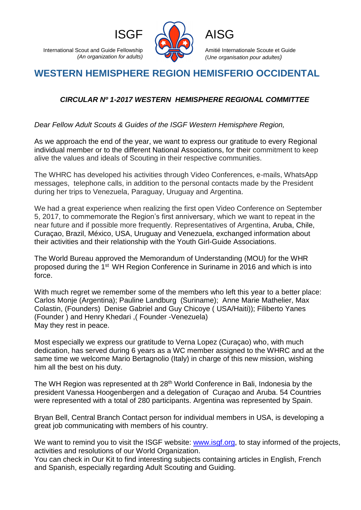

Amitié Internationale Scoute et Guide *(Une organisation pour adultes)*

## **WESTERN HEMISPHERE REGION HEMISFERIO OCCIDENTAL**

## *CIRCULAR Nº 1-2017 WESTERN HEMISPHERE REGIONAL COMMITTEE*

*Dear Fellow Adult Scouts & Guides of the ISGF Western Hemisphere Region,*

As we approach the end of the year, we want to express our gratitude to every Regional individual member or to the different National Associations, for their commitment to keep alive the values and ideals of Scouting in their respective communities.

The WHRC has developed his activities through Video Conferences, e-mails, WhatsApp messages, telephone calls, in addition to the personal contacts made by the President during her trips to Venezuela, Paraguay, Uruguay and Argentina.

We had a great experience when realizing the first open Video Conference on September 5, 2017, to commemorate the Region's first anniversary, which we want to repeat in the near future and if possible more frequently. Representatives of Argentina, Aruba, Chile, Curaçao, Brazil, México, USA, Uruguay and Venezuela, exchanged information about their activities and their relationship with the Youth Girl-Guide Associations.

The World Bureau approved the Memorandum of Understanding (MOU) for the WHR proposed during the 1st WH Region Conference in Suriname in 2016 and which is into force.

With much regret we remember some of the members who left this year to a better place: Carlos Monje (Argentina); Pauline Landburg (Suriname); Anne Marie Mathelier, Max Colastin, (Founders) Denise Gabriel and Guy Chicoye ( USA/Haiti)); Filiberto Yanes (Founder ) and Henry Khedari ,( Founder -Venezuela) May they rest in peace.

Most especially we express our gratitude to Verna Lopez (Curaçao) who, with much dedication, has served during 6 years as a WC member assigned to the WHRC and at the same time we welcome Mario Bertagnolio (Italy) in charge of this new mission, wishing him all the best on his duty.

The WH Region was represented at th 28<sup>th</sup> World Conference in Bali, Indonesia by the president Vanessa Hoogenbergen and a delegation of Curaçao and Aruba. 54 Countries were represented with a total of 280 participants. Argentina was represented by Spain.

Bryan Bell, Central Branch Contact person for individual members in USA, is developing a great job communicating with members of his country.

We want to remind you to visit the ISGF website: [www.isgf.org,](http://www.isgf.org/) to stay informed of the projects, activities and resolutions of our World Organization.

You can check in Our Kit to find interesting subjects containing articles in English, French and Spanish, especially regarding Adult Scouting and Guiding.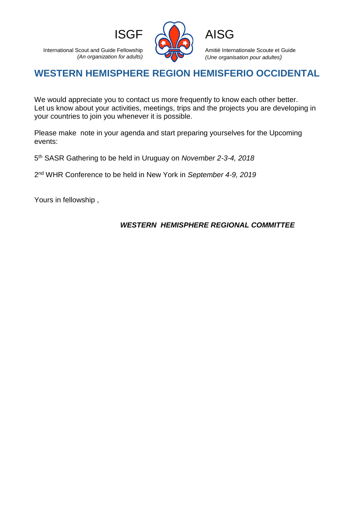



Amitié Internationale Scoute et Guide *(Une organisation pour adultes)*

## **WESTERN HEMISPHERE REGION HEMISFERIO OCCIDENTAL**

We would appreciate you to contact us more frequently to know each other better. Let us know about your activities, meetings, trips and the projects you are developing in your countries to join you whenever it is possible.

Please make note in your agenda and start preparing yourselves for the Upcoming events:

5 th SASR Gathering to be held in Uruguay on *November 2-3-4, 2018*

2 nd WHR Conference to be held in New York in *September 4-9, 2019*

Yours in fellowship ,

## *WESTERN HEMISPHERE REGIONAL COMMITTEE*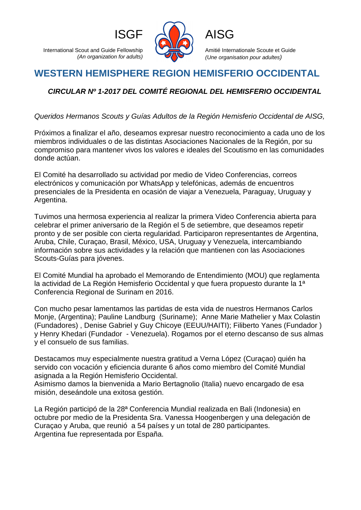

Amitié Internationale Scoute et Guide *(Une organisation pour adultes)*

# **WESTERN HEMISPHERE REGION HEMISFERIO OCCIDENTAL**

## *CIRCULAR Nº 1-2017 DEL COMITÉ REGIONAL DEL HEMISFERIO OCCIDENTAL*

*Queridos Hermanos Scouts y Guías Adultos de la Región Hemisferio Occidental de AISG,*

Próximos a finalizar el año, deseamos expresar nuestro reconocimiento a cada uno de los miembros individuales o de las distintas Asociaciones Nacionales de la Región, por su compromiso para mantener vivos los valores e ideales del Scoutismo en las comunidades donde actúan.

El Comité ha desarrollado su actividad por medio de Video Conferencias, correos electrónicos y comunicación por WhatsApp y telefónicas, además de encuentros presenciales de la Presidenta en ocasión de viajar a Venezuela, Paraguay, Uruguay y Argentina.

Tuvimos una hermosa experiencia al realizar la primera Video Conferencia abierta para celebrar el primer aniversario de la Región el 5 de setiembre, que deseamos repetir pronto y de ser posible con cierta regularidad. Participaron representantes de Argentina, Aruba, Chile, Curaçao, Brasil, México, USA, Uruguay y Venezuela, intercambiando información sobre sus actividades y la relación que mantienen con las Asociaciones Scouts-Guías para jóvenes.

El Comité Mundial ha aprobado el Memorando de Entendimiento (MOU) que reglamenta la actividad de La Región Hemisferio Occidental y que fuera propuesto durante la 1ª Conferencia Regional de Surinam en 2016.

Con mucho pesar lamentamos las partidas de esta vida de nuestros Hermanos Carlos Monje, (Argentina); Pauline Landburg (Suriname); Anne Marie Mathelier y Max Colastin (Fundadores) , Denise Gabriel y Guy Chicoye (EEUU/HAITI); Filiberto Yanes (Fundador ) y Henry Khedari (Fundador - Venezuela). Rogamos por el eterno descanso de sus almas y el consuelo de sus familias.

Destacamos muy especialmente nuestra gratitud a Verna López (Curaçao) quién ha servido con vocación y eficiencia durante 6 años como miembro del Comité Mundial asignada a la Región Hemisferio Occidental.

Asimismo damos la bienvenida a Mario Bertagnolio (Italia) nuevo encargado de esa misión, deseándole una exitosa gestión.

La Región participó de la 28ª Conferencia Mundial realizada en Bali (Indonesia) en octubre por medio de la Presidenta Sra. Vanessa Hoogenbergen y una delegación de Curaçao y Aruba, que reunió a 54 países y un total de 280 participantes. Argentina fue representada por España.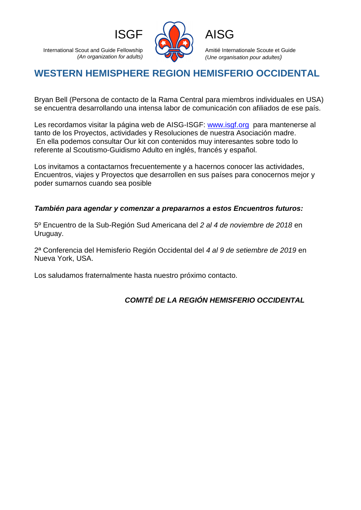

Amitié Internationale Scoute et Guide *(Une organisation pour adultes)*

# **WESTERN HEMISPHERE REGION HEMISFERIO OCCIDENTAL**

Bryan Bell (Persona de contacto de la Rama Central para miembros individuales en USA) se encuentra desarrollando una intensa labor de comunicación con afiliados de ese país.

Les recordamos visitar la página web de AISG-ISGF: [www.isgf.org](http://www.isgf.org/) para mantenerse al tanto de los Proyectos, actividades y Resoluciones de nuestra Asociación madre. En ella podemos consultar Our kit con contenidos muy interesantes sobre todo lo referente al Scoutismo-Guidismo Adulto en inglés, francés y español.

Los invitamos a contactarnos frecuentemente y a hacernos conocer las actividades, Encuentros, viajes y Proyectos que desarrollen en sus países para conocernos mejor y poder sumarnos cuando sea posible

#### *También para agendar y comenzar a prepararnos a estos Encuentros futuros:*

5º Encuentro de la Sub-Región Sud Americana del *2 al 4 de noviembre de 2018* en Uruguay.

2ª Conferencia del Hemisferio Región Occidental del *4 al 9 de setiembre de 2019* en Nueva York, USA.

Los saludamos fraternalmente hasta nuestro próximo contacto.

## *COMITÉ DE LA REGIÓN HEMISFERIO OCCIDENTAL*